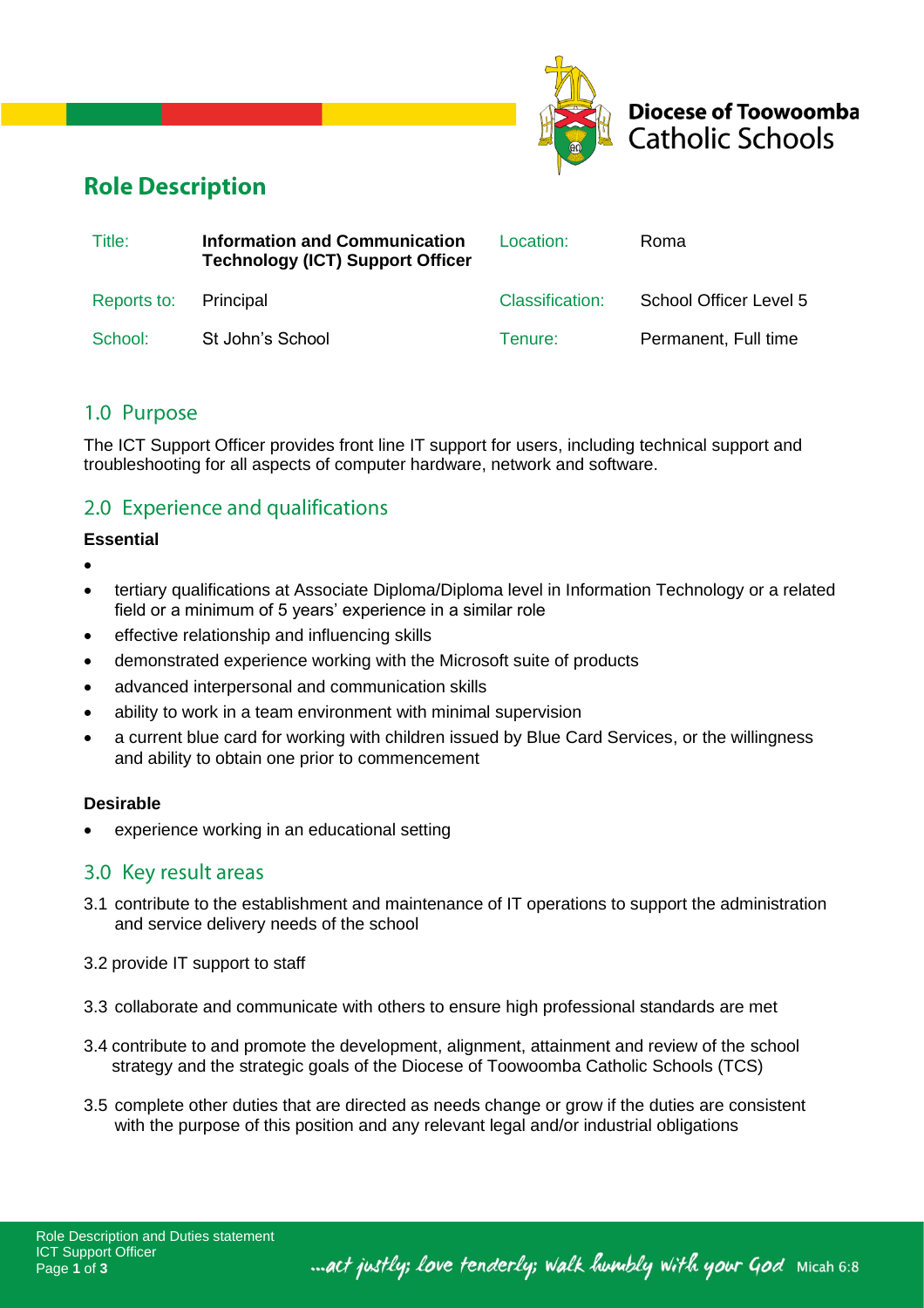



# **Role Description**

| Title:                | Information and Communication<br><b>Technology (ICT) Support Officer</b> | Location: L     | Roma                   |
|-----------------------|--------------------------------------------------------------------------|-----------------|------------------------|
| Reports to: Principal |                                                                          | Classification: | School Officer Level 5 |
| School:               | St John's School                                                         | Tenure:         | Permanent, Full time   |

### 1.0 Purpose

The ICT Support Officer provides front line IT support for users, including technical support and troubleshooting for all aspects of computer hardware, network and software.

## 2.0 Experience and qualifications

#### **Essential**

- •
- tertiary qualifications at Associate Diploma/Diploma level in Information Technology or a related field or a minimum of 5 years' experience in a similar role
- effective relationship and influencing skills
- demonstrated experience working with the Microsoft suite of products
- advanced interpersonal and communication skills
- ability to work in a team environment with minimal supervision
- a current blue card for working with children issued by Blue Card Services, or the willingness and ability to obtain one prior to commencement

### **Desirable**

experience working in an educational setting

### 3.0 Key result areas

- 3.1 contribute to the establishment and maintenance of IT operations to support the administration and service delivery needs of the school
- 3.2 provide IT support to staff
- 3.3 collaborate and communicate with others to ensure high professional standards are met
- 3.4 contribute to and promote the development, alignment, attainment and review of the school strategy and the strategic goals of the Diocese of Toowoomba Catholic Schools (TCS)
- 3.5 complete other duties that are directed as needs change or grow if the duties are consistent with the purpose of this position and any relevant legal and/or industrial obligations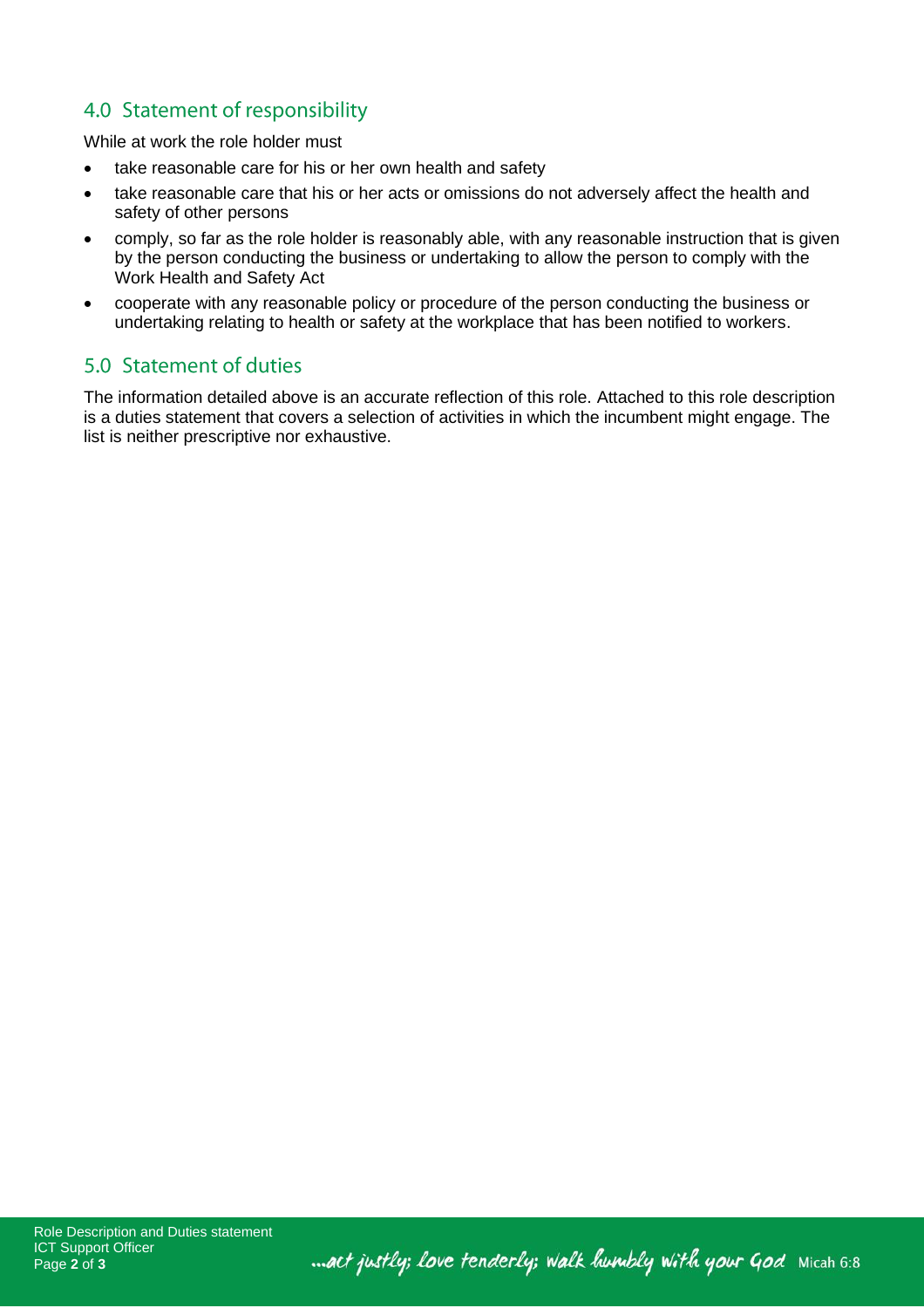## 4.0 Statement of responsibility

While at work the role holder must

- take reasonable care for his or her own health and safety
- take reasonable care that his or her acts or omissions do not adversely affect the health and safety of other persons
- comply, so far as the role holder is reasonably able, with any reasonable instruction that is given by the person conducting the business or undertaking to allow the person to comply with the Work Health and Safety Act
- cooperate with any reasonable policy or procedure of the person conducting the business or undertaking relating to health or safety at the workplace that has been notified to workers.

### 5.0 Statement of duties

The information detailed above is an accurate reflection of this role. Attached to this role description is a duties statement that covers a selection of activities in which the incumbent might engage. The list is neither prescriptive nor exhaustive.